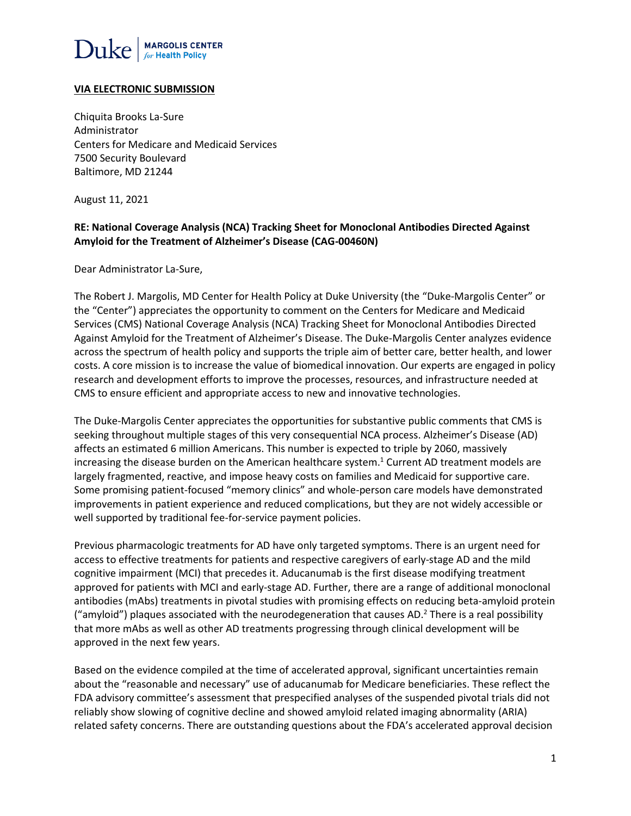

#### **VIA ELECTRONIC SUBMISSION**

Chiquita Brooks La-Sure Administrator Centers for Medicare and Medicaid Services 7500 Security Boulevard Baltimore, MD 21244

August 11, 2021

#### **RE: National Coverage Analysis (NCA) Tracking Sheet for Monoclonal Antibodies Directed Against Amyloid for the Treatment of Alzheimer's Disease (CAG-00460N)**

Dear Administrator La-Sure,

The Robert J. Margolis, MD Center for Health Policy at Duke University (the "Duke-Margolis Center" or the "Center") appreciates the opportunity to comment on the Centers for Medicare and Medicaid Services (CMS) National Coverage Analysis (NCA) Tracking Sheet for Monoclonal Antibodies Directed Against Amyloid for the Treatment of Alzheimer's Disease. The Duke-Margolis Center analyzes evidence across the spectrum of health policy and supports the triple aim of better care, better health, and lower costs. A core mission is to increase the value of biomedical innovation. Our experts are engaged in policy research and development efforts to improve the processes, resources, and infrastructure needed at CMS to ensure efficient and appropriate access to new and innovative technologies.

The Duke-Margolis Center appreciates the opportunities for substantive public comments that CMS is seeking throughout multiple stages of this very consequential NCA process. Alzheimer's Disease (AD) affects an estimated 6 million Americans. This number is expected to triple by 2060, massively increasing the disease burden on the American healthcare system.<sup>1</sup> Current AD treatment models are largely fragmented, reactive, and impose heavy costs on families and Medicaid for supportive care. Some promising patient-focused "memory clinics" and whole-person care models have demonstrated improvements in patient experience and reduced complications, but they are not widely accessible or well supported by traditional fee-for-service payment policies.

Previous pharmacologic treatments for AD have only targeted symptoms. There is an urgent need for access to effective treatments for patients and respective caregivers of early-stage AD and the mild cognitive impairment (MCI) that precedes it. Aducanumab is the first disease modifying treatment approved for patients with MCI and early-stage AD. Further, there are a range of additional monoclonal antibodies (mAbs) treatments in pivotal studies with promising effects on reducing beta-amyloid protein ("amyloid") plaques associated with the neurodegeneration that causes AD.<sup>2</sup> There is a real possibility that more mAbs as well as other AD treatments progressing through clinical development will be approved in the next few years.

Based on the evidence compiled at the time of accelerated approval, significant uncertainties remain about the "reasonable and necessary" use of aducanumab for Medicare beneficiaries. These reflect the FDA advisory committee's assessment that prespecified analyses of the suspended pivotal trials did not reliably show slowing of cognitive decline and showed amyloid related imaging abnormality (ARIA) related safety concerns. There are outstanding questions about the FDA's accelerated approval decision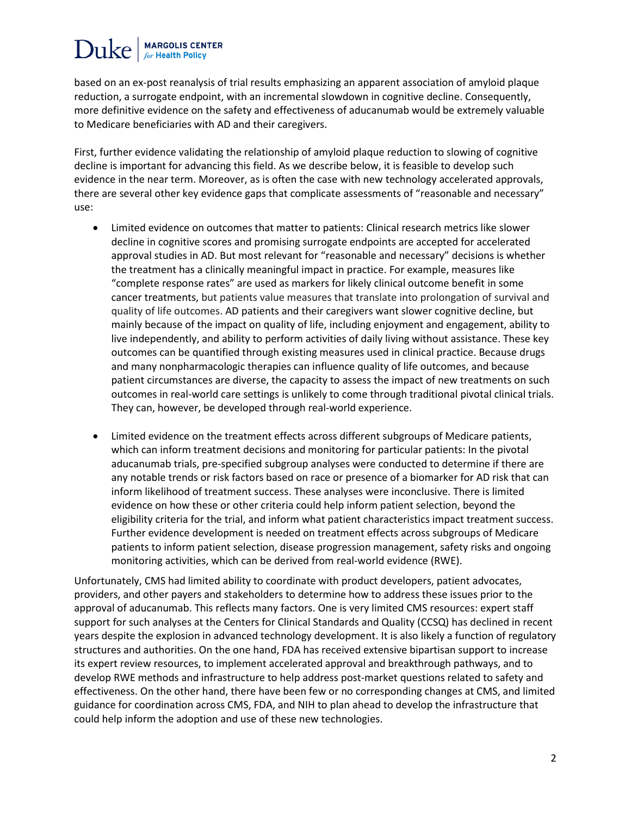### **MARGOLIS CENTER**  $Duke$

based on an ex-post reanalysis of trial results emphasizing an apparent association of amyloid plaque reduction, a surrogate endpoint, with an incremental slowdown in cognitive decline. Consequently, more definitive evidence on the safety and effectiveness of aducanumab would be extremely valuable to Medicare beneficiaries with AD and their caregivers.

First, further evidence validating the relationship of amyloid plaque reduction to slowing of cognitive decline is important for advancing this field. As we describe below, it is feasible to develop such evidence in the near term. Moreover, as is often the case with new technology accelerated approvals, there are several other key evidence gaps that complicate assessments of "reasonable and necessary" use:

- Limited evidence on outcomes that matter to patients: Clinical research metrics like slower decline in cognitive scores and promising surrogate endpoints are accepted for accelerated approval studies in AD. But most relevant for "reasonable and necessary" decisions is whether the treatment has a clinically meaningful impact in practice. For example, measures like "complete response rates" are used as markers for likely clinical outcome benefit in some cancer treatments, but patients value measures that translate into prolongation of survival and quality of life outcomes. AD patients and their caregivers want slower cognitive decline, but mainly because of the impact on quality of life, including enjoyment and engagement, ability to live independently, and ability to perform activities of daily living without assistance. These key outcomes can be quantified through existing measures used in clinical practice. Because drugs and many nonpharmacologic therapies can influence quality of life outcomes, and because patient circumstances are diverse, the capacity to assess the impact of new treatments on such outcomes in real-world care settings is unlikely to come through traditional pivotal clinical trials. They can, however, be developed through real-world experience.
- Limited evidence on the treatment effects across different subgroups of Medicare patients, which can inform treatment decisions and monitoring for particular patients: In the pivotal aducanumab trials, pre-specified subgroup analyses were conducted to determine if there are any notable trends or risk factors based on race or presence of a biomarker for AD risk that can inform likelihood of treatment success. These analyses were inconclusive. There is limited evidence on how these or other criteria could help inform patient selection, beyond the eligibility criteria for the trial, and inform what patient characteristics impact treatment success. Further evidence development is needed on treatment effects across subgroups of Medicare patients to inform patient selection, disease progression management, safety risks and ongoing monitoring activities, which can be derived from real-world evidence (RWE).

Unfortunately, CMS had limited ability to coordinate with product developers, patient advocates, providers, and other payers and stakeholders to determine how to address these issues prior to the approval of aducanumab. This reflects many factors. One is very limited CMS resources: expert staff support for such analyses at the Centers for Clinical Standards and Quality (CCSQ) has declined in recent years despite the explosion in advanced technology development. It is also likely a function of regulatory structures and authorities. On the one hand, FDA has received extensive bipartisan support to increase its expert review resources, to implement accelerated approval and breakthrough pathways, and to develop RWE methods and infrastructure to help address post-market questions related to safety and effectiveness. On the other hand, there have been few or no corresponding changes at CMS, and limited guidance for coordination across CMS, FDA, and NIH to plan ahead to develop the infrastructure that could help inform the adoption and use of these new technologies.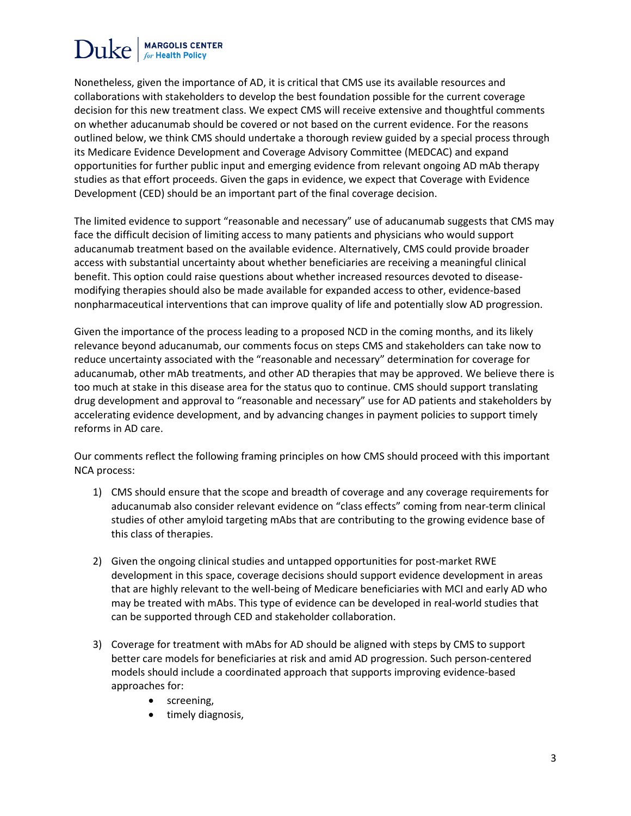# **MARGOLIS CENTER**

Nonetheless, given the importance of AD, it is critical that CMS use its available resources and collaborations with stakeholders to develop the best foundation possible for the current coverage decision for this new treatment class. We expect CMS will receive extensive and thoughtful comments on whether aducanumab should be covered or not based on the current evidence. For the reasons outlined below, we think CMS should undertake a thorough review guided by a special process through its Medicare Evidence Development and Coverage Advisory Committee (MEDCAC) and expand opportunities for further public input and emerging evidence from relevant ongoing AD mAb therapy studies as that effort proceeds. Given the gaps in evidence, we expect that Coverage with Evidence Development (CED) should be an important part of the final coverage decision.

The limited evidence to support "reasonable and necessary" use of aducanumab suggests that CMS may face the difficult decision of limiting access to many patients and physicians who would support aducanumab treatment based on the available evidence. Alternatively, CMS could provide broader access with substantial uncertainty about whether beneficiaries are receiving a meaningful clinical benefit. This option could raise questions about whether increased resources devoted to diseasemodifying therapies should also be made available for expanded access to other, evidence-based nonpharmaceutical interventions that can improve quality of life and potentially slow AD progression.

Given the importance of the process leading to a proposed NCD in the coming months, and its likely relevance beyond aducanumab, our comments focus on steps CMS and stakeholders can take now to reduce uncertainty associated with the "reasonable and necessary" determination for coverage for aducanumab, other mAb treatments, and other AD therapies that may be approved. We believe there is too much at stake in this disease area for the status quo to continue. CMS should support translating drug development and approval to "reasonable and necessary" use for AD patients and stakeholders by accelerating evidence development, and by advancing changes in payment policies to support timely reforms in AD care.

Our comments reflect the following framing principles on how CMS should proceed with this important NCA process:

- 1) CMS should ensure that the scope and breadth of coverage and any coverage requirements for aducanumab also consider relevant evidence on "class effects" coming from near-term clinical studies of other amyloid targeting mAbs that are contributing to the growing evidence base of this class of therapies.
- 2) Given the ongoing clinical studies and untapped opportunities for post-market RWE development in this space, coverage decisions should support evidence development in areas that are highly relevant to the well-being of Medicare beneficiaries with MCI and early AD who may be treated with mAbs. This type of evidence can be developed in real-world studies that can be supported through CED and stakeholder collaboration.
- 3) Coverage for treatment with mAbs for AD should be aligned with steps by CMS to support better care models for beneficiaries at risk and amid AD progression. Such person-centered models should include a coordinated approach that supports improving evidence-based approaches for:
	- screening,
	- timely diagnosis,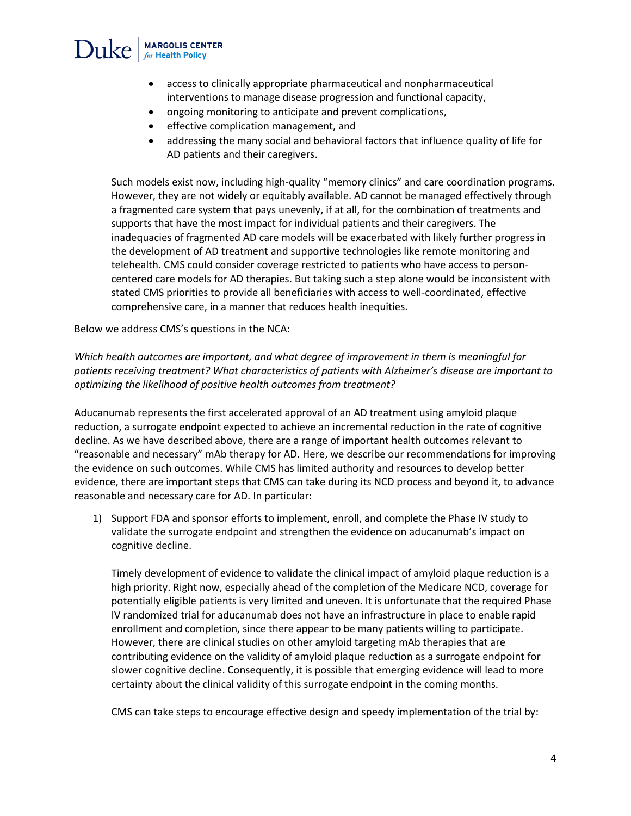

- access to clinically appropriate pharmaceutical and nonpharmaceutical interventions to manage disease progression and functional capacity,
- ongoing monitoring to anticipate and prevent complications,
- effective complication management, and
- addressing the many social and behavioral factors that influence quality of life for AD patients and their caregivers.

Such models exist now, including high-quality "memory clinics" and care coordination programs. However, they are not widely or equitably available. AD cannot be managed effectively through a fragmented care system that pays unevenly, if at all, for the combination of treatments and supports that have the most impact for individual patients and their caregivers. The inadequacies of fragmented AD care models will be exacerbated with likely further progress in the development of AD treatment and supportive technologies like remote monitoring and telehealth. CMS could consider coverage restricted to patients who have access to personcentered care models for AD therapies. But taking such a step alone would be inconsistent with stated CMS priorities to provide all beneficiaries with access to well-coordinated, effective comprehensive care, in a manner that reduces health inequities.

Below we address CMS's questions in the NCA:

*Which health outcomes are important, and what degree of improvement in them is meaningful for patients receiving treatment? What characteristics of patients with Alzheimer's disease are important to optimizing the likelihood of positive health outcomes from treatment?*

Aducanumab represents the first accelerated approval of an AD treatment using amyloid plaque reduction, a surrogate endpoint expected to achieve an incremental reduction in the rate of cognitive decline. As we have described above, there are a range of important health outcomes relevant to "reasonable and necessary" mAb therapy for AD. Here, we describe our recommendations for improving the evidence on such outcomes. While CMS has limited authority and resources to develop better evidence, there are important steps that CMS can take during its NCD process and beyond it, to advance reasonable and necessary care for AD. In particular:

1) Support FDA and sponsor efforts to implement, enroll, and complete the Phase IV study to validate the surrogate endpoint and strengthen the evidence on aducanumab's impact on cognitive decline.

Timely development of evidence to validate the clinical impact of amyloid plaque reduction is a high priority. Right now, especially ahead of the completion of the Medicare NCD, coverage for potentially eligible patients is very limited and uneven. It is unfortunate that the required Phase IV randomized trial for aducanumab does not have an infrastructure in place to enable rapid enrollment and completion, since there appear to be many patients willing to participate. However, there are clinical studies on other amyloid targeting mAb therapies that are contributing evidence on the validity of amyloid plaque reduction as a surrogate endpoint for slower cognitive decline. Consequently, it is possible that emerging evidence will lead to more certainty about the clinical validity of this surrogate endpoint in the coming months.

CMS can take steps to encourage effective design and speedy implementation of the trial by: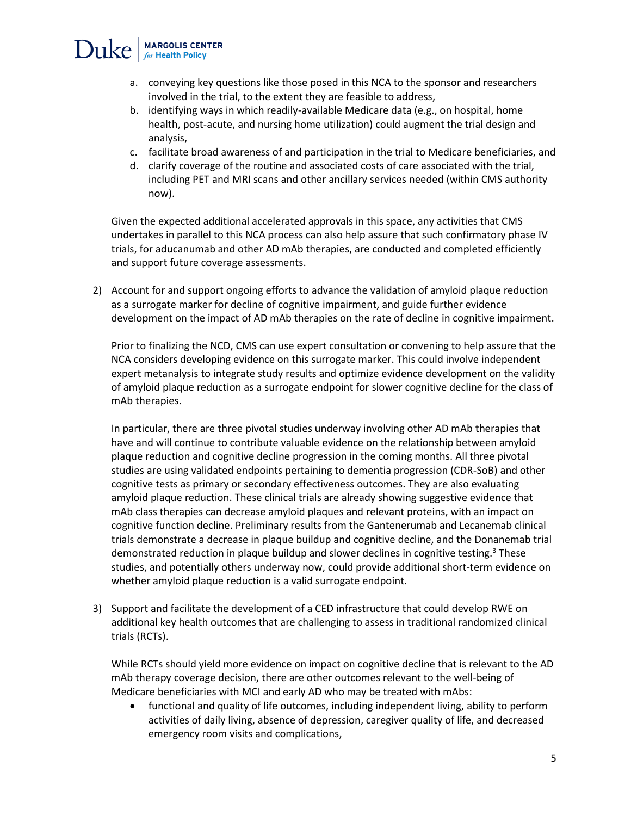## $\text{Duke}$  MARGOLIS CENTER

- a. conveying key questions like those posed in this NCA to the sponsor and researchers involved in the trial, to the extent they are feasible to address,
- b. identifying ways in which readily-available Medicare data (e.g., on hospital, home health, post-acute, and nursing home utilization) could augment the trial design and analysis,
- c. facilitate broad awareness of and participation in the trial to Medicare beneficiaries, and
- d. clarify coverage of the routine and associated costs of care associated with the trial, including PET and MRI scans and other ancillary services needed (within CMS authority now).

Given the expected additional accelerated approvals in this space, any activities that CMS undertakes in parallel to this NCA process can also help assure that such confirmatory phase IV trials, for aducanumab and other AD mAb therapies, are conducted and completed efficiently and support future coverage assessments.

2) Account for and support ongoing efforts to advance the validation of amyloid plaque reduction as a surrogate marker for decline of cognitive impairment, and guide further evidence development on the impact of AD mAb therapies on the rate of decline in cognitive impairment.

Prior to finalizing the NCD, CMS can use expert consultation or convening to help assure that the NCA considers developing evidence on this surrogate marker. This could involve independent expert metanalysis to integrate study results and optimize evidence development on the validity of amyloid plaque reduction as a surrogate endpoint for slower cognitive decline for the class of mAb therapies.

In particular, there are three pivotal studies underway involving other AD mAb therapies that have and will continue to contribute valuable evidence on the relationship between amyloid plaque reduction and cognitive decline progression in the coming months. All three pivotal studies are using validated endpoints pertaining to dementia progression (CDR-SoB) and other cognitive tests as primary or secondary effectiveness outcomes. They are also evaluating amyloid plaque reduction. These clinical trials are already showing suggestive evidence that mAb class therapies can decrease amyloid plaques and relevant proteins, with an impact on cognitive function decline. Preliminary results from the Gantenerumab and Lecanemab clinical trials demonstrate a decrease in plaque buildup and cognitive decline, and the Donanemab trial demonstrated reduction in plaque buildup and slower declines in cognitive testing.<sup>3</sup> These studies, and potentially others underway now, could provide additional short-term evidence on whether amyloid plaque reduction is a valid surrogate endpoint.

3) Support and facilitate the development of a CED infrastructure that could develop RWE on additional key health outcomes that are challenging to assess in traditional randomized clinical trials (RCTs).

While RCTs should yield more evidence on impact on cognitive decline that is relevant to the AD mAb therapy coverage decision, there are other outcomes relevant to the well-being of Medicare beneficiaries with MCI and early AD who may be treated with mAbs:

• functional and quality of life outcomes, including independent living, ability to perform activities of daily living, absence of depression, caregiver quality of life, and decreased emergency room visits and complications,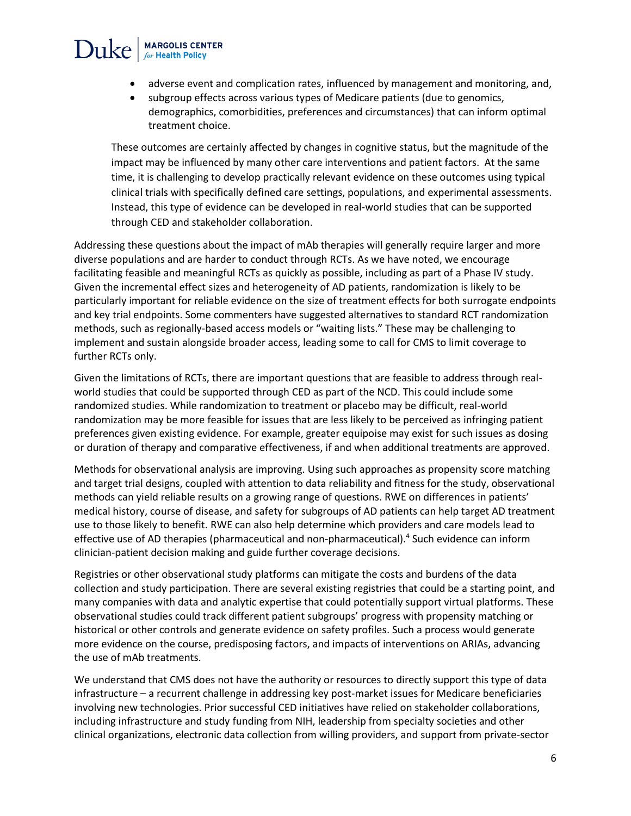## $\text{Duke}$  MARGOLIS CENTER

- adverse event and complication rates, influenced by management and monitoring, and,
- subgroup effects across various types of Medicare patients (due to genomics, demographics, comorbidities, preferences and circumstances) that can inform optimal treatment choice.

These outcomes are certainly affected by changes in cognitive status, but the magnitude of the impact may be influenced by many other care interventions and patient factors. At the same time, it is challenging to develop practically relevant evidence on these outcomes using typical clinical trials with specifically defined care settings, populations, and experimental assessments. Instead, this type of evidence can be developed in real-world studies that can be supported through CED and stakeholder collaboration.

Addressing these questions about the impact of mAb therapies will generally require larger and more diverse populations and are harder to conduct through RCTs. As we have noted, we encourage facilitating feasible and meaningful RCTs as quickly as possible, including as part of a Phase IV study. Given the incremental effect sizes and heterogeneity of AD patients, randomization is likely to be particularly important for reliable evidence on the size of treatment effects for both surrogate endpoints and key trial endpoints. Some commenters have suggested alternatives to standard RCT randomization methods, such as regionally-based access models or "waiting lists." These may be challenging to implement and sustain alongside broader access, leading some to call for CMS to limit coverage to further RCTs only.

Given the limitations of RCTs, there are important questions that are feasible to address through realworld studies that could be supported through CED as part of the NCD. This could include some randomized studies. While randomization to treatment or placebo may be difficult, real-world randomization may be more feasible for issues that are less likely to be perceived as infringing patient preferences given existing evidence. For example, greater equipoise may exist for such issues as dosing or duration of therapy and comparative effectiveness, if and when additional treatments are approved.

Methods for observational analysis are improving. Using such approaches as propensity score matching and target trial designs, coupled with attention to data reliability and fitness for the study, observational methods can yield reliable results on a growing range of questions. RWE on differences in patients' medical history, course of disease, and safety for subgroups of AD patients can help target AD treatment use to those likely to benefit. RWE can also help determine which providers and care models lead to effective use of AD therapies (pharmaceutical and non-pharmaceutical).<sup>4</sup> Such evidence can inform clinician-patient decision making and guide further coverage decisions.

Registries or other observational study platforms can mitigate the costs and burdens of the data collection and study participation. There are several existing registries that could be a starting point, and many companies with data and analytic expertise that could potentially support virtual platforms. These observational studies could track different patient subgroups' progress with propensity matching or historical or other controls and generate evidence on safety profiles. Such a process would generate more evidence on the course, predisposing factors, and impacts of interventions on ARIAs, advancing the use of mAb treatments.

We understand that CMS does not have the authority or resources to directly support this type of data infrastructure – a recurrent challenge in addressing key post-market issues for Medicare beneficiaries involving new technologies. Prior successful CED initiatives have relied on stakeholder collaborations, including infrastructure and study funding from NIH, leadership from specialty societies and other clinical organizations, electronic data collection from willing providers, and support from private-sector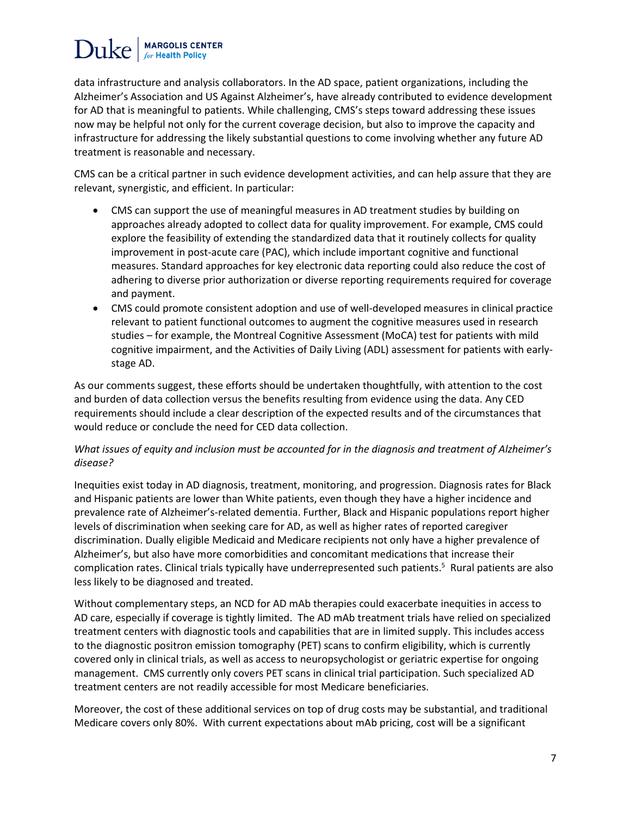## **MARGOLIS CENTER** Duke

data infrastructure and analysis collaborators. In the AD space, patient organizations, including the Alzheimer's Association and US Against Alzheimer's, have already contributed to evidence development for AD that is meaningful to patients. While challenging, CMS's steps toward addressing these issues now may be helpful not only for the current coverage decision, but also to improve the capacity and infrastructure for addressing the likely substantial questions to come involving whether any future AD treatment is reasonable and necessary.

CMS can be a critical partner in such evidence development activities, and can help assure that they are relevant, synergistic, and efficient. In particular:

- CMS can support the use of meaningful measures in AD treatment studies by building on approaches already adopted to collect data for quality improvement. For example, CMS could explore the feasibility of extending the standardized data that it routinely collects for quality improvement in post-acute care (PAC), which include important cognitive and functional measures. Standard approaches for key electronic data reporting could also reduce the cost of adhering to diverse prior authorization or diverse reporting requirements required for coverage and payment.
- CMS could promote consistent adoption and use of well-developed measures in clinical practice relevant to patient functional outcomes to augment the cognitive measures used in research studies – for example, the Montreal Cognitive Assessment (MoCA) test for patients with mild cognitive impairment, and the Activities of Daily Living (ADL) assessment for patients with earlystage AD.

As our comments suggest, these efforts should be undertaken thoughtfully, with attention to the cost and burden of data collection versus the benefits resulting from evidence using the data. Any CED requirements should include a clear description of the expected results and of the circumstances that would reduce or conclude the need for CED data collection.

#### *What issues of equity and inclusion must be accounted for in the diagnosis and treatment of Alzheimer's disease?*

Inequities exist today in AD diagnosis, treatment, monitoring, and progression. Diagnosis rates for Black and Hispanic patients are lower than White patients, even though they have a higher incidence and prevalence rate of Alzheimer's-related dementia. Further, Black and Hispanic populations report higher levels of discrimination when seeking care for AD, as well as higher rates of reported caregiver discrimination. Dually eligible Medicaid and Medicare recipients not only have a higher prevalence of Alzheimer's, but also have more comorbidities and concomitant medications that increase their complication rates. Clinical trials typically have underrepresented such patients.<sup>5</sup> Rural patients are also less likely to be diagnosed and treated.

Without complementary steps, an NCD for AD mAb therapies could exacerbate inequities in access to AD care, especially if coverage is tightly limited. The AD mAb treatment trials have relied on specialized treatment centers with diagnostic tools and capabilities that are in limited supply. This includes access to the diagnostic positron emission tomography (PET) scans to confirm eligibility, which is currently covered only in clinical trials, as well as access to neuropsychologist or geriatric expertise for ongoing management. CMS currently only covers PET scans in clinical trial participation. Such specialized AD treatment centers are not readily accessible for most Medicare beneficiaries.

Moreover, the cost of these additional services on top of drug costs may be substantial, and traditional Medicare covers only 80%. With current expectations about mAb pricing, cost will be a significant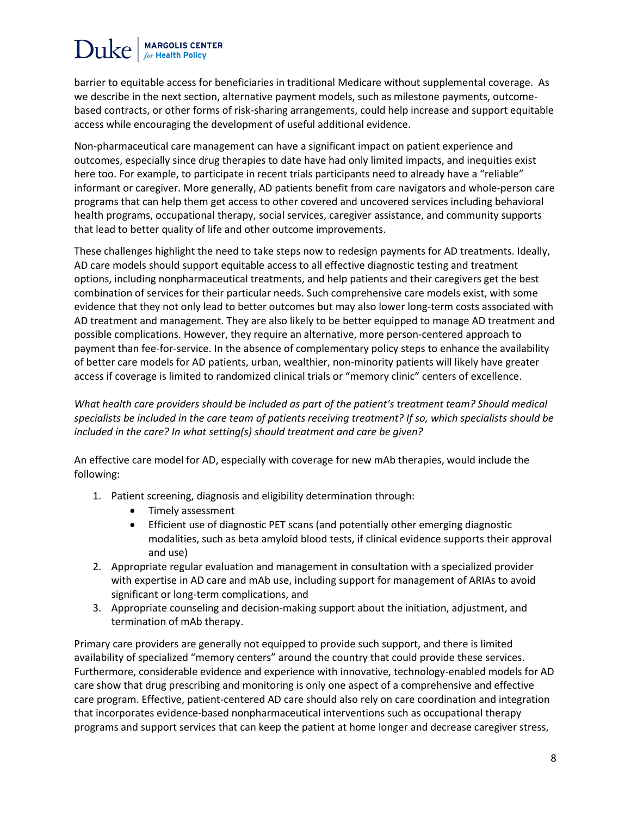## Duke<sup>|</sup> **MARGOLIS CENTER**

barrier to equitable access for beneficiaries in traditional Medicare without supplemental coverage. As we describe in the next section, alternative payment models, such as milestone payments, outcomebased contracts, or other forms of risk-sharing arrangements, could help increase and support equitable access while encouraging the development of useful additional evidence.

Non-pharmaceutical care management can have a significant impact on patient experience and outcomes, especially since drug therapies to date have had only limited impacts, and inequities exist here too. For example, to participate in recent trials participants need to already have a "reliable" informant or caregiver. More generally, AD patients benefit from care navigators and whole-person care programs that can help them get access to other covered and uncovered services including behavioral health programs, occupational therapy, social services, caregiver assistance, and community supports that lead to better quality of life and other outcome improvements.

These challenges highlight the need to take steps now to redesign payments for AD treatments. Ideally, AD care models should support equitable access to all effective diagnostic testing and treatment options, including nonpharmaceutical treatments, and help patients and their caregivers get the best combination of services for their particular needs. Such comprehensive care models exist, with some evidence that they not only lead to better outcomes but may also lower long-term costs associated with AD treatment and management. They are also likely to be better equipped to manage AD treatment and possible complications. However, they require an alternative, more person-centered approach to payment than fee-for-service. In the absence of complementary policy steps to enhance the availability of better care models for AD patients, urban, wealthier, non-minority patients will likely have greater access if coverage is limited to randomized clinical trials or "memory clinic" centers of excellence.

*What health care providers should be included as part of the patient's treatment team? Should medical specialists be included in the care team of patients receiving treatment? If so, which specialists should be included in the care? In what setting(s) should treatment and care be given?*

An effective care model for AD, especially with coverage for new mAb therapies, would include the following:

- 1. Patient screening, diagnosis and eligibility determination through:
	- Timely assessment
	- Efficient use of diagnostic PET scans (and potentially other emerging diagnostic modalities, such as beta amyloid blood tests, if clinical evidence supports their approval and use)
- 2. Appropriate regular evaluation and management in consultation with a specialized provider with expertise in AD care and mAb use, including support for management of ARIAs to avoid significant or long-term complications, and
- 3. Appropriate counseling and decision-making support about the initiation, adjustment, and termination of mAb therapy.

Primary care providers are generally not equipped to provide such support, and there is limited availability of specialized "memory centers" around the country that could provide these services. Furthermore, considerable evidence and experience with innovative, technology-enabled models for AD care show that drug prescribing and monitoring is only one aspect of a comprehensive and effective care program. Effective, patient-centered AD care should also rely on care coordination and integration that incorporates evidence-based nonpharmaceutical interventions such as occupational therapy programs and support services that can keep the patient at home longer and decrease caregiver stress,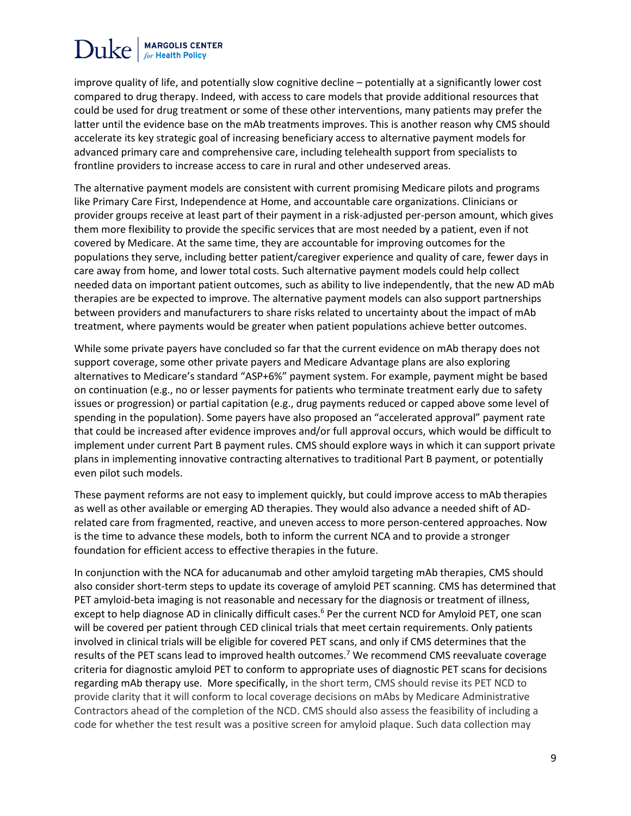## **MARGOLIS CENTER**  $Duke$

improve quality of life, and potentially slow cognitive decline – potentially at a significantly lower cost compared to drug therapy. Indeed, with access to care models that provide additional resources that could be used for drug treatment or some of these other interventions, many patients may prefer the latter until the evidence base on the mAb treatments improves. This is another reason why CMS should accelerate its key strategic goal of increasing beneficiary access to alternative payment models for advanced primary care and comprehensive care, including telehealth support from specialists to frontline providers to increase access to care in rural and other undeserved areas.

The alternative payment models are consistent with current promising Medicare pilots and programs like Primary Care First, Independence at Home, and accountable care organizations. Clinicians or provider groups receive at least part of their payment in a risk-adjusted per-person amount, which gives them more flexibility to provide the specific services that are most needed by a patient, even if not covered by Medicare. At the same time, they are accountable for improving outcomes for the populations they serve, including better patient/caregiver experience and quality of care, fewer days in care away from home, and lower total costs. Such alternative payment models could help collect needed data on important patient outcomes, such as ability to live independently, that the new AD mAb therapies are be expected to improve. The alternative payment models can also support partnerships between providers and manufacturers to share risks related to uncertainty about the impact of mAb treatment, where payments would be greater when patient populations achieve better outcomes.

While some private payers have concluded so far that the current evidence on mAb therapy does not support coverage, some other private payers and Medicare Advantage plans are also exploring alternatives to Medicare's standard "ASP+6%" payment system. For example, payment might be based on continuation (e.g., no or lesser payments for patients who terminate treatment early due to safety issues or progression) or partial capitation (e.g., drug payments reduced or capped above some level of spending in the population). Some payers have also proposed an "accelerated approval" payment rate that could be increased after evidence improves and/or full approval occurs, which would be difficult to implement under current Part B payment rules. CMS should explore ways in which it can support private plans in implementing innovative contracting alternatives to traditional Part B payment, or potentially even pilot such models.

These payment reforms are not easy to implement quickly, but could improve access to mAb therapies as well as other available or emerging AD therapies. They would also advance a needed shift of ADrelated care from fragmented, reactive, and uneven access to more person-centered approaches. Now is the time to advance these models, both to inform the current NCA and to provide a stronger foundation for efficient access to effective therapies in the future.

In conjunction with the NCA for aducanumab and other amyloid targeting mAb therapies, CMS should also consider short-term steps to update its coverage of amyloid PET scanning. CMS has determined that PET amyloid-beta imaging is not reasonable and necessary for the diagnosis or treatment of illness, except to help diagnose AD in clinically difficult cases.<sup>6</sup> Per the current NCD for Amyloid PET, one scan will be covered per patient through CED clinical trials that meet certain requirements. Only patients involved in clinical trials will be eligible for covered PET scans, and only if CMS determines that the results of the PET scans lead to improved health outcomes.<sup>7</sup> We recommend CMS reevaluate coverage criteria for diagnostic amyloid PET to conform to appropriate uses of diagnostic PET scans for decisions regarding mAb therapy use. More specifically, in the short term, CMS should revise its PET NCD to provide clarity that it will conform to local coverage decisions on mAbs by Medicare Administrative Contractors ahead of the completion of the NCD. CMS should also assess the feasibility of including a code for whether the test result was a positive screen for amyloid plaque. Such data collection may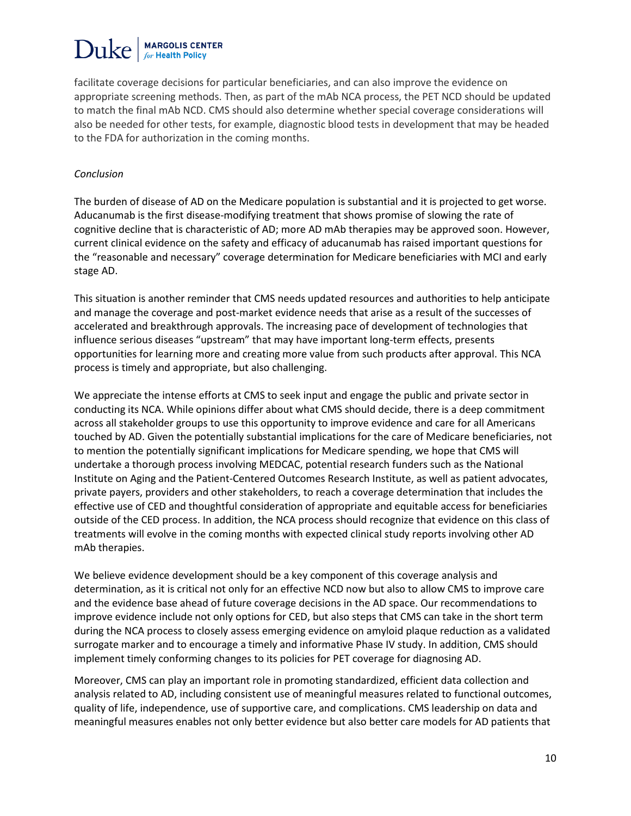# **MARGOLIS CENTER**

facilitate coverage decisions for particular beneficiaries, and can also improve the evidence on appropriate screening methods. Then, as part of the mAb NCA process, the PET NCD should be updated to match the final mAb NCD. CMS should also determine whether special coverage considerations will also be needed for other tests, for example, diagnostic blood tests in development that may be headed to the FDA for authorization in the coming months.

#### *Conclusion*

The burden of disease of AD on the Medicare population is substantial and it is projected to get worse. Aducanumab is the first disease-modifying treatment that shows promise of slowing the rate of cognitive decline that is characteristic of AD; more AD mAb therapies may be approved soon. However, current clinical evidence on the safety and efficacy of aducanumab has raised important questions for the "reasonable and necessary" coverage determination for Medicare beneficiaries with MCI and early stage AD.

This situation is another reminder that CMS needs updated resources and authorities to help anticipate and manage the coverage and post-market evidence needs that arise as a result of the successes of accelerated and breakthrough approvals. The increasing pace of development of technologies that influence serious diseases "upstream" that may have important long-term effects, presents opportunities for learning more and creating more value from such products after approval. This NCA process is timely and appropriate, but also challenging.

We appreciate the intense efforts at CMS to seek input and engage the public and private sector in conducting its NCA. While opinions differ about what CMS should decide, there is a deep commitment across all stakeholder groups to use this opportunity to improve evidence and care for all Americans touched by AD. Given the potentially substantial implications for the care of Medicare beneficiaries, not to mention the potentially significant implications for Medicare spending, we hope that CMS will undertake a thorough process involving MEDCAC, potential research funders such as the National Institute on Aging and the Patient-Centered Outcomes Research Institute, as well as patient advocates, private payers, providers and other stakeholders, to reach a coverage determination that includes the effective use of CED and thoughtful consideration of appropriate and equitable access for beneficiaries outside of the CED process. In addition, the NCA process should recognize that evidence on this class of treatments will evolve in the coming months with expected clinical study reports involving other AD mAb therapies.

We believe evidence development should be a key component of this coverage analysis and determination, as it is critical not only for an effective NCD now but also to allow CMS to improve care and the evidence base ahead of future coverage decisions in the AD space. Our recommendations to improve evidence include not only options for CED, but also steps that CMS can take in the short term during the NCA process to closely assess emerging evidence on amyloid plaque reduction as a validated surrogate marker and to encourage a timely and informative Phase IV study. In addition, CMS should implement timely conforming changes to its policies for PET coverage for diagnosing AD.

Moreover, CMS can play an important role in promoting standardized, efficient data collection and analysis related to AD, including consistent use of meaningful measures related to functional outcomes, quality of life, independence, use of supportive care, and complications. CMS leadership on data and meaningful measures enables not only better evidence but also better care models for AD patients that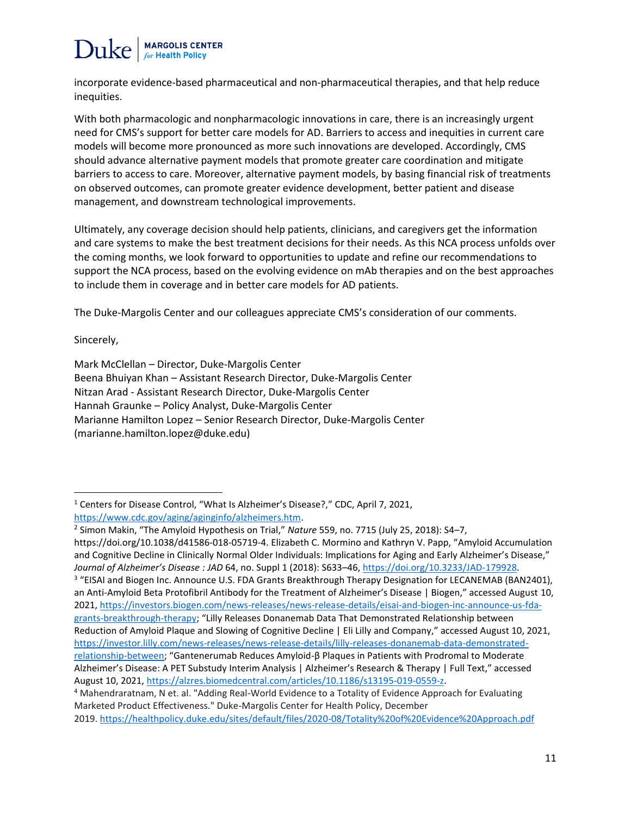

incorporate evidence-based pharmaceutical and non-pharmaceutical therapies, and that help reduce inequities.

With both pharmacologic and nonpharmacologic innovations in care, there is an increasingly urgent need for CMS's support for better care models for AD. Barriers to access and inequities in current care models will become more pronounced as more such innovations are developed. Accordingly, CMS should advance alternative payment models that promote greater care coordination and mitigate barriers to access to care. Moreover, alternative payment models, by basing financial risk of treatments on observed outcomes, can promote greater evidence development, better patient and disease management, and downstream technological improvements.

Ultimately, any coverage decision should help patients, clinicians, and caregivers get the information and care systems to make the best treatment decisions for their needs. As this NCA process unfolds over the coming months, we look forward to opportunities to update and refine our recommendations to support the NCA process, based on the evolving evidence on mAb therapies and on the best approaches to include them in coverage and in better care models for AD patients.

The Duke-Margolis Center and our colleagues appreciate CMS's consideration of our comments.

Sincerely,

 $\overline{\phantom{a}}$ 

Mark McClellan – Director, Duke-Margolis Center Beena Bhuiyan Khan – Assistant Research Director, Duke-Margolis Center Nitzan Arad - Assistant Research Director, Duke-Margolis Center Hannah Graunke – Policy Analyst, Duke-Margolis Center Marianne Hamilton Lopez – Senior Research Director, Duke-Margolis Center (marianne.hamilton.lopez@duke.edu)

2 Simon Makin, "The Amyloid Hypothesis on Trial," *Nature* 559, no. 7715 (July 25, 2018): S4–7, https://doi.org/10.1038/d41586-018-05719-4. Elizabeth C. Mormino and Kathryn V. Papp, "Amyloid Accumulation and Cognitive Decline in Clinically Normal Older Individuals: Implications for Aging and Early Alzheimer's Disease," *Journal of Alzheimer's Disease : JAD* 64, no. Suppl 1 (2018): S633–46, [https://doi.org/10.3233/JAD-179928.](https://doi.org/10.3233/JAD-179928) <sup>3</sup> "EISAI and Biogen Inc. Announce U.S. FDA Grants Breakthrough Therapy Designation for LECANEMAB (BAN2401), an Anti-Amyloid Beta Protofibril Antibody for the Treatment of Alzheimer's Disease | Biogen," accessed August 10, 2021, [https://investors.biogen.com/news-releases/news-release-details/eisai-and-biogen-inc-announce-us-fda](https://investors.biogen.com/news-releases/news-release-details/eisai-and-biogen-inc-announce-us-fda-grants-breakthrough-therapy)[grants-breakthrough-therapy](https://investors.biogen.com/news-releases/news-release-details/eisai-and-biogen-inc-announce-us-fda-grants-breakthrough-therapy); "Lilly Releases Donanemab Data That Demonstrated Relationship between Reduction of Amyloid Plaque and Slowing of Cognitive Decline | Eli Lilly and Company," accessed August 10, 2021, [https://investor.lilly.com/news-releases/news-release-details/lilly-releases-donanemab-data-demonstrated](https://investor.lilly.com/news-releases/news-release-details/lilly-releases-donanemab-data-demonstrated-relationship-between)[relationship-between](https://investor.lilly.com/news-releases/news-release-details/lilly-releases-donanemab-data-demonstrated-relationship-between); "Gantenerumab Reduces Amyloid-β Plaques in Patients with Prodromal to Moderate Alzheimer's Disease: A PET Substudy Interim Analysis | Alzheimer's Research & Therapy | Full Text," accessed August 10, 2021, [https://alzres.biomedcentral.com/articles/10.1186/s13195-019-0559-z.](https://alzres.biomedcentral.com/articles/10.1186/s13195-019-0559-z)

<sup>4</sup> Mahendraratnam, N et. al. "Adding Real-World Evidence to a Totality of Evidence Approach for Evaluating Marketed Product Effectiveness." Duke-Margolis Center for Health Policy, December 2019. <https://healthpolicy.duke.edu/sites/default/files/2020-08/Totality%20of%20Evidence%20Approach.pdf>

<sup>&</sup>lt;sup>1</sup> Centers for Disease Control, "What Is Alzheimer's Disease?," CDC, April 7, 2021, [https://www.cdc.gov/aging/aginginfo/alzheimers.htm.](https://www.cdc.gov/aging/aginginfo/alzheimers.htm)